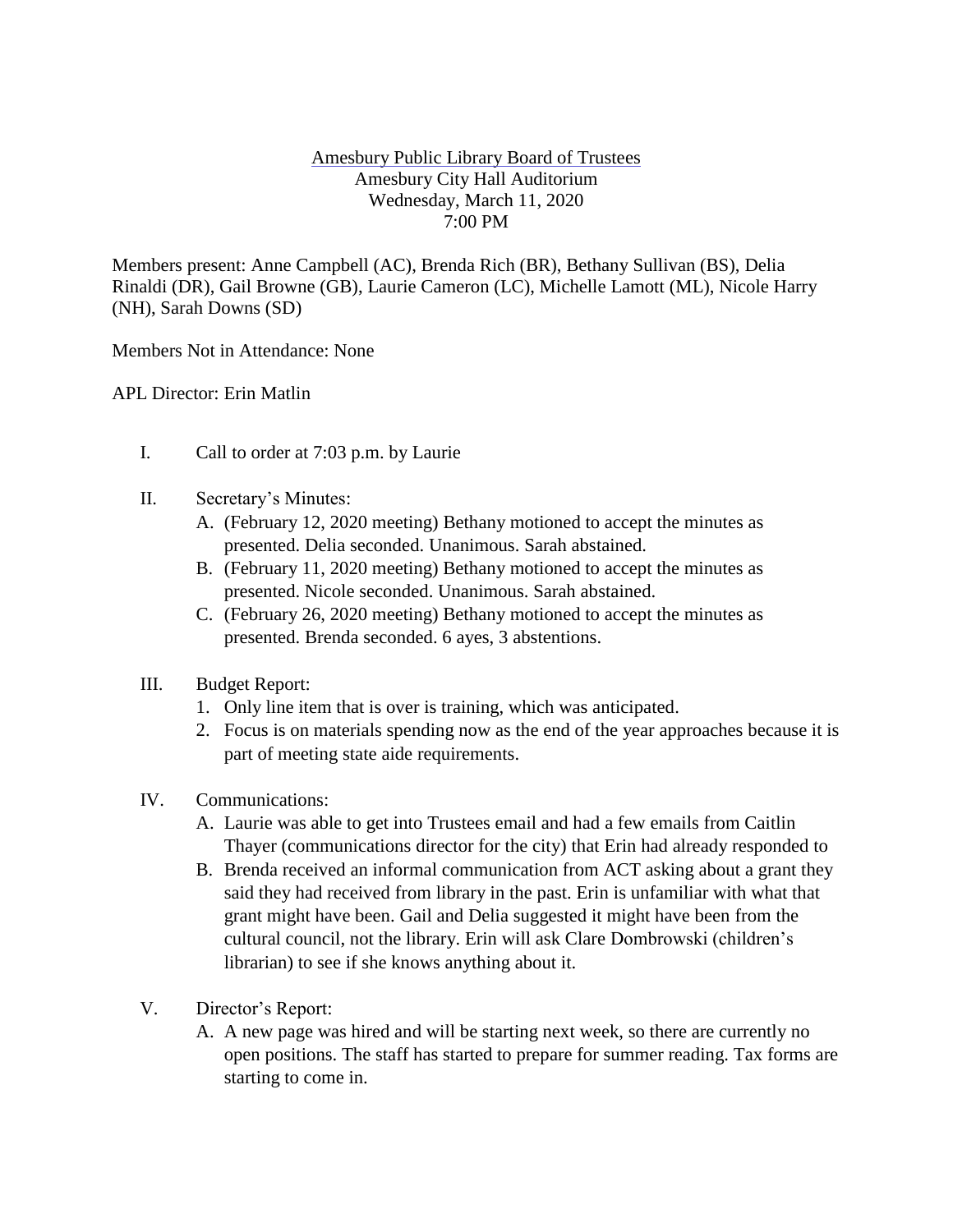## Amesbury Public Library Board of Trustees Amesbury City Hall Auditorium Wednesday, March 11, 2020 7:00 PM

Members present: Anne Campbell (AC), Brenda Rich (BR), Bethany Sullivan (BS), Delia Rinaldi (DR), Gail Browne (GB), Laurie Cameron (LC), Michelle Lamott (ML), Nicole Harry (NH), Sarah Downs (SD)

Members Not in Attendance: None

APL Director: Erin Matlin

- I. Call to order at 7:03 p.m. by Laurie
- II. Secretary's Minutes:
	- A. (February 12, 2020 meeting) Bethany motioned to accept the minutes as presented. Delia seconded. Unanimous. Sarah abstained.
	- B. (February 11, 2020 meeting) Bethany motioned to accept the minutes as presented. Nicole seconded. Unanimous. Sarah abstained.
	- C. (February 26, 2020 meeting) Bethany motioned to accept the minutes as presented. Brenda seconded. 6 ayes, 3 abstentions.
- III. Budget Report:
	- 1. Only line item that is over is training, which was anticipated.
	- 2. Focus is on materials spending now as the end of the year approaches because it is part of meeting state aide requirements.
- IV. Communications:
	- A. Laurie was able to get into Trustees email and had a few emails from Caitlin Thayer (communications director for the city) that Erin had already responded to
	- B. Brenda received an informal communication from ACT asking about a grant they said they had received from library in the past. Erin is unfamiliar with what that grant might have been. Gail and Delia suggested it might have been from the cultural council, not the library. Erin will ask Clare Dombrowski (children's librarian) to see if she knows anything about it.
- V. Director's Report:
	- A. A new page was hired and will be starting next week, so there are currently no open positions. The staff has started to prepare for summer reading. Tax forms are starting to come in.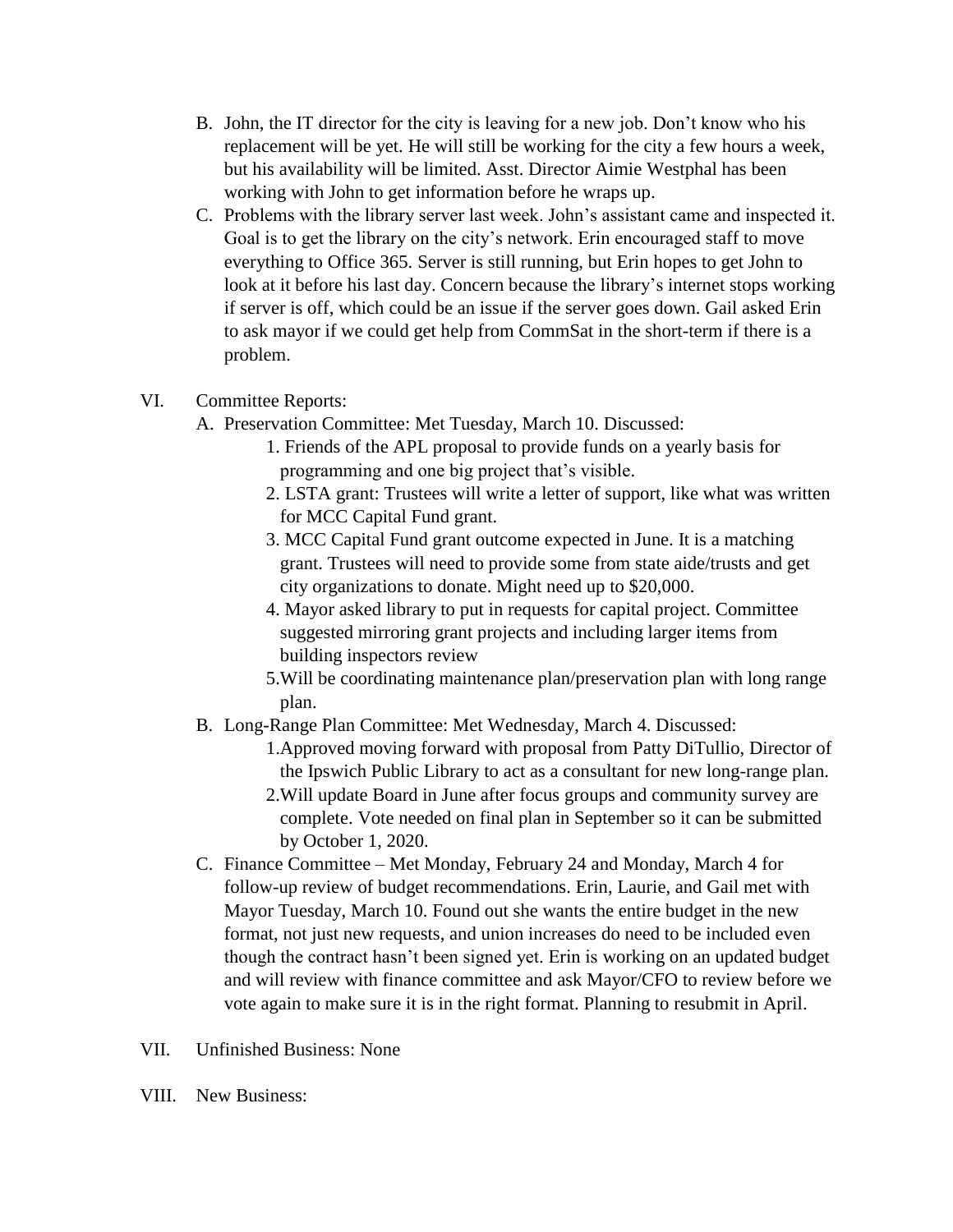- B. John, the IT director for the city is leaving for a new job. Don't know who his replacement will be yet. He will still be working for the city a few hours a week, but his availability will be limited. Asst. Director Aimie Westphal has been working with John to get information before he wraps up.
- C. Problems with the library server last week. John's assistant came and inspected it. Goal is to get the library on the city's network. Erin encouraged staff to move everything to Office 365. Server is still running, but Erin hopes to get John to look at it before his last day. Concern because the library's internet stops working if server is off, which could be an issue if the server goes down. Gail asked Erin to ask mayor if we could get help from CommSat in the short-term if there is a problem.
- VI. Committee Reports:
	- A. Preservation Committee: Met Tuesday, March 10. Discussed:
		- 1. Friends of the APL proposal to provide funds on a yearly basis for programming and one big project that's visible.
		- 2. LSTA grant: Trustees will write a letter of support, like what was written for MCC Capital Fund grant.
		- 3. MCC Capital Fund grant outcome expected in June. It is a matching grant. Trustees will need to provide some from state aide/trusts and get city organizations to donate. Might need up to \$20,000.
		- 4. Mayor asked library to put in requests for capital project. Committee suggested mirroring grant projects and including larger items from building inspectors review
		- 5.Will be coordinating maintenance plan/preservation plan with long range plan.
	- B. Long-Range Plan Committee: Met Wednesday, March 4. Discussed:
		- 1.Approved moving forward with proposal from Patty DiTullio, Director of the Ipswich Public Library to act as a consultant for new long-range plan.
		- 2.Will update Board in June after focus groups and community survey are complete. Vote needed on final plan in September so it can be submitted by October 1, 2020.
	- C. Finance Committee Met Monday, February 24 and Monday, March 4 for follow-up review of budget recommendations. Erin, Laurie, and Gail met with Mayor Tuesday, March 10. Found out she wants the entire budget in the new format, not just new requests, and union increases do need to be included even though the contract hasn't been signed yet. Erin is working on an updated budget and will review with finance committee and ask Mayor/CFO to review before we vote again to make sure it is in the right format. Planning to resubmit in April.
- VII. Unfinished Business: None
- VIII. New Business: